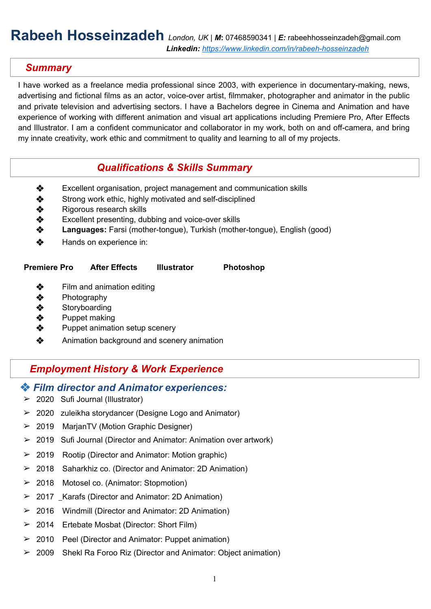## **Rabeeh Hosseinzadeh** *London, UK | M***:** 07468590341 *| E:* [rabeehhosseinzadeh@gmail.com](mailto:rabeehhosseinzadeh@gmail.com) *Linkedin: [https://www.linkedin.com/in/rabeeh-hosseinzadeh](http://www.linkedin.com/in/rabeeh-hosseinzadeh)*

### *Summary*

I have worked as a freelance media professional since 2003, with experience in documentary-making, news, advertising and fictional films as an actor, voice-over artist, filmmaker, photographer and animator in the public and private television and advertising sectors. I have a Bachelors degree in Cinema and Animation and have experience of working with different animation and visual art applications including Premiere Pro, After Effects and Illustrator. I am a confident communicator and collaborator in my work, both on and off-camera, and bring my innate creativity, work ethic and commitment to quality and learning to all of my projects.

### *Qualifications & Skills Summary*

- ❖ Excellent organisation, project management and communication skills
- ❖ Strong work ethic, highly motivated and self-disciplined
- ❖ Rigorous research skills
- ❖ Excellent presenting, dubbing and voice-over skills
- ❖ **Languages:** Farsi (mother-tongue), Turkish (mother-tongue), English (good)
- ❖ Hands on experience in:

#### **Premiere Pro After Effects Illustrator Photoshop**

- ❖ Film and animation editing
- ❖ Photography
- ❖ Storyboarding
- ❖ Puppet making
- ❖ Puppet animation setup scenery
- ❖ Animation background and scenery animation

## *Employment History & Work Experience*

#### ❖ *Film director and Animator experiences:*

- ➢ 2020 Sufi Journal (Illustrator)
- ➢ 2020 zuleikha storydancer (Designe Logo and Animator)
- ➢ 2019 MarjanTV (Motion Graphic Designer)
- $\geq 2019$  Sufi Journal (Director and Animator: Animation over artwork)
- $\geq$  2019 Rootip (Director and Animator: Motion graphic)
- ➢ 2018 Saharkhiz co. (Director and Animator: 2D Animation)
- ➢ 2018 Motosel co. (Animator: Stopmotion)
- ➢ 2017 Karafs (Director and Animator: 2D Animation)
- ➢ 2016 Windmill (Director and Animator: 2D Animation)
- ➢ 2014 Ertebate Mosbat (Director: Short Film)
- ➢ 2010 Peel (Director and Animator: Puppet animation)
- ➢ 2009 Shekl Ra Foroo Riz (Director and Animator: Object animation)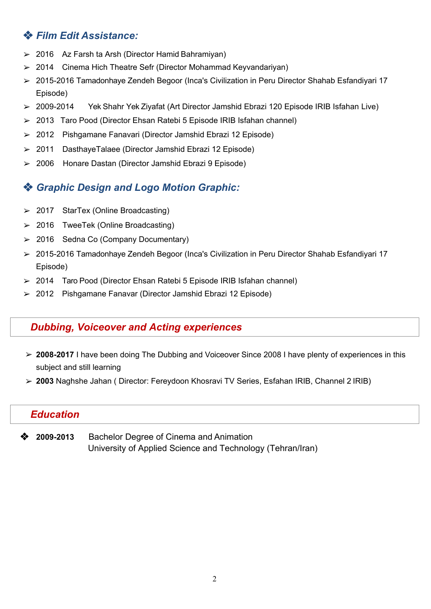# ❖ *Film Edit Assistance:*

- $> 2016$  Az Farsh ta Arsh (Director Hamid Bahramiyan)
- ➢ 2014 Cinema Hich Theatre Sefr (Director Mohammad Keyvandariyan)
- ➢ 2015-2016 Tamadonhaye Zendeh Begoor (Inca's Civilization in Peru Director Shahab Esfandiyari 17 Episode)
- ➢ 2009-2014 Yek Shahr Yek Ziyafat (Art Director Jamshid Ebrazi 120 Episode IRIB Isfahan Live)
- ➢ 2013 Taro Pood (Director Ehsan Ratebi 5 Episode IRIB Isfahan channel)
- ➢ 2012 Pishgamane Fanavari (Director Jamshid Ebrazi 12 Episode)
- ➢ 2011 DasthayeTalaee (Director Jamshid Ebrazi 12 Episode)
- ➢ 2006 Honare Dastan (Director Jamshid Ebrazi 9 Episode)

## ❖ *Graphic Design and Logo Motion Graphic:*

- ➢ 2017 StarTex (Online Broadcasting)
- ➢ 2016 TweeTek (Online Broadcasting)
- ➢ 2016 Sedna Co (Company Documentary)
- ➢ 2015-2016 Tamadonhaye Zendeh Begoor (Inca's Civilization in Peru Director Shahab Esfandiyari 17 Episode)
- ➢ 2014 Taro Pood (Director Ehsan Ratebi 5 Episode IRIB Isfahan channel)
- ➢ 2012 Pishgamane Fanavar (Director Jamshid Ebrazi 12 Episode)

# *Dubbing, Voiceover and Acting experiences*

- ➢ **2008-2017** I have been doing The Dubbing and Voiceover Since 2008 I have plenty of experiences in this subject and still learning
- ➢ **2003** Naghshe Jahan ( Director: Fereydoon Khosravi TV Series, Esfahan IRIB, Channel 2 IRIB)

#### *Education*

❖ **2009-2013** Bachelor Degree of Cinema and Animation University of Applied Science and Technology (Tehran/Iran)